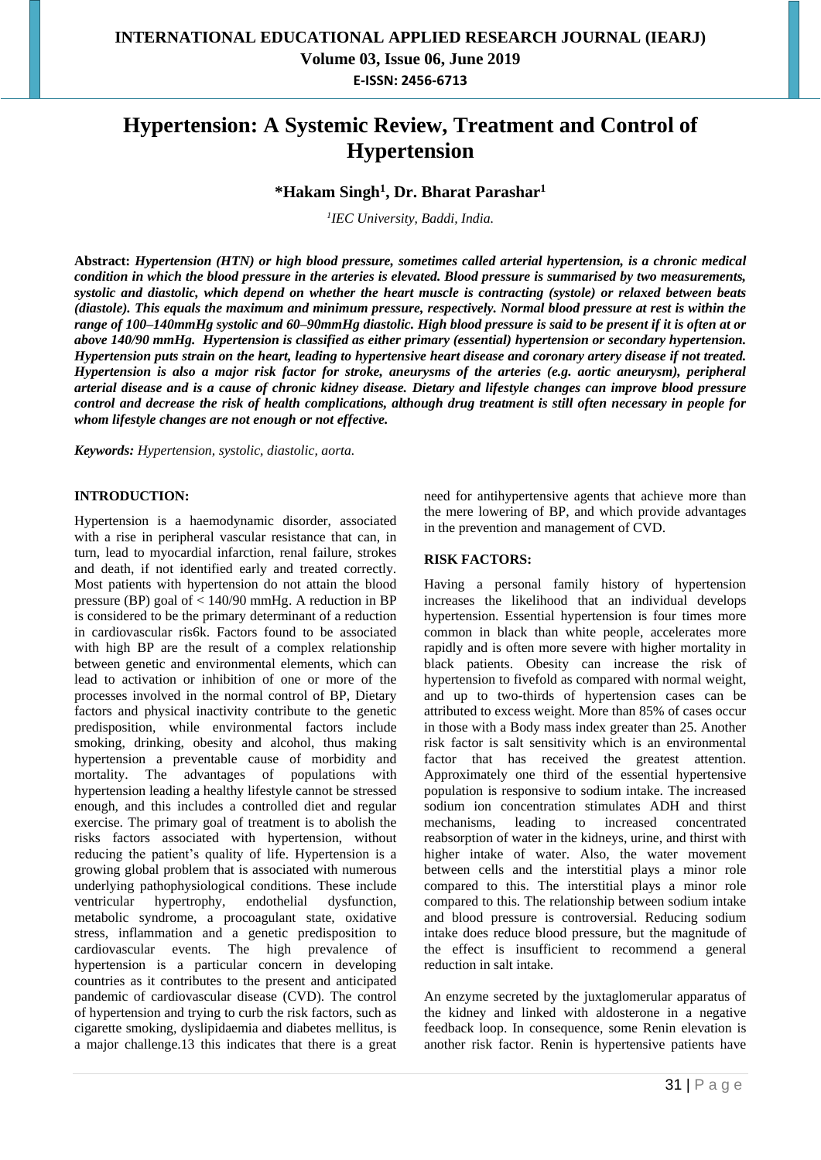# **Hypertension: A Systemic Review, Treatment and Control of Hypertension**

### **\*Hakam Singh<sup>1</sup> , Dr. Bharat Parashar<sup>1</sup>**

*1 IEC University, Baddi, India.*

**Abstract:** *Hypertension (HTN) or high blood pressure, sometimes called arterial hypertension, is a chronic medical condition in which the blood pressure in the arteries is elevated. Blood pressure is summarised by two measurements, systolic and diastolic, which depend on whether the heart muscle is contracting (systole) or relaxed between beats (diastole). This equals the maximum and minimum pressure, respectively. Normal blood pressure at rest is within the range of 100–140mmHg systolic and 60–90mmHg diastolic. High blood pressure is said to be present if it is often at or above 140/90 mmHg. Hypertension is classified as either primary (essential) hypertension or secondary hypertension. Hypertension puts strain on the heart, leading to hypertensive heart disease and coronary artery disease if not treated. Hypertension is also a major risk factor for stroke, aneurysms of the arteries (e.g. aortic aneurysm), peripheral arterial disease and is a cause of chronic kidney disease. Dietary and lifestyle changes can improve blood pressure control and decrease the risk of health complications, although drug treatment is still often necessary in people for whom lifestyle changes are not enough or not effective.*

*Keywords: Hypertension, systolic, diastolic, aorta.*

### **INTRODUCTION:**

Hypertension is a haemodynamic disorder, associated with a rise in peripheral vascular resistance that can, in turn, lead to myocardial infarction, renal failure, strokes and death, if not identified early and treated correctly. Most patients with hypertension do not attain the blood pressure (BP) goal of < 140/90 mmHg. A reduction in BP is considered to be the primary determinant of a reduction in cardiovascular ris6k. Factors found to be associated with high BP are the result of a complex relationship between genetic and environmental elements, which can lead to activation or inhibition of one or more of the processes involved in the normal control of BP, Dietary factors and physical inactivity contribute to the genetic predisposition, while environmental factors include smoking, drinking, obesity and alcohol, thus making hypertension a preventable cause of morbidity and mortality. The advantages of populations with hypertension leading a healthy lifestyle cannot be stressed enough, and this includes a controlled diet and regular exercise. The primary goal of treatment is to abolish the risks factors associated with hypertension, without reducing the patient's quality of life. Hypertension is a growing global problem that is associated with numerous underlying pathophysiological conditions. These include ventricular hypertrophy, endothelial dysfunction, metabolic syndrome, a procoagulant state, oxidative stress, inflammation and a genetic predisposition to cardiovascular events. The high prevalence of hypertension is a particular concern in developing countries as it contributes to the present and anticipated pandemic of cardiovascular disease (CVD). The control of hypertension and trying to curb the risk factors, such as cigarette smoking, dyslipidaemia and diabetes mellitus, is a major challenge.13 this indicates that there is a great

need for antihypertensive agents that achieve more than the mere lowering of BP, and which provide advantages in the prevention and management of CVD.

### **RISK FACTORS:**

Having a personal family history of hypertension increases the likelihood that an individual develops hypertension. Essential hypertension is four times more common in black than white people, accelerates more rapidly and is often more severe with higher mortality in black patients. Obesity can increase the risk of hypertension to fivefold as compared with normal weight, and up to two-thirds of hypertension cases can be attributed to excess weight. More than 85% of cases occur in those with a Body mass index greater than 25. Another risk factor is salt sensitivity which is an environmental factor that has received the greatest attention. Approximately one third of the essential hypertensive population is responsive to sodium intake. The increased sodium ion concentration stimulates ADH and thirst mechanisms, leading to increased concentrated reabsorption of water in the kidneys, urine, and thirst with higher intake of water. Also, the water movement between cells and the interstitial plays a minor role compared to this. The interstitial plays a minor role compared to this. The relationship between sodium intake and blood pressure is controversial. Reducing sodium intake does reduce blood pressure, but the magnitude of the effect is insufficient to recommend a general reduction in salt intake.

An enzyme secreted by the juxtaglomerular apparatus of the kidney and linked with aldosterone in a negative feedback loop. In consequence, some Renin elevation is another risk factor. Renin is hypertensive patients have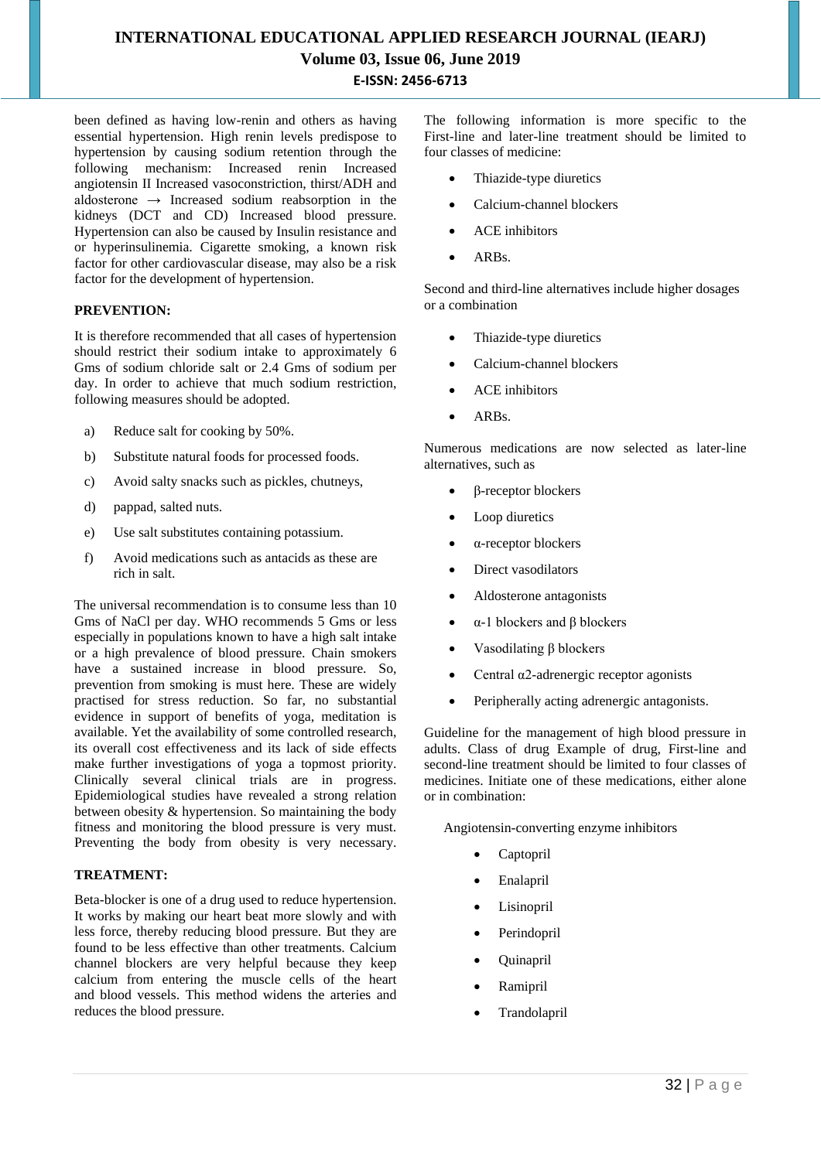# **INTERNATIONAL EDUCATIONAL APPLIED RESEARCH JOURNAL (IEARJ) Volume 03, Issue 06, June 2019 E-ISSN: 2456-6713**

been defined as having low-renin and others as having essential hypertension. High renin levels predispose to hypertension by causing sodium retention through the following mechanism: Increased renin Increased angiotensin II Increased vasoconstriction, thirst/ADH and aldosterone  $\rightarrow$  Increased sodium reabsorption in the kidneys (DCT and CD) Increased blood pressure. Hypertension can also be caused by Insulin resistance and or hyperinsulinemia. Cigarette smoking, a known risk factor for other cardiovascular disease, may also be a risk factor for the development of hypertension.

### **PREVENTION:**

It is therefore recommended that all cases of hypertension should restrict their sodium intake to approximately 6 Gms of sodium chloride salt or 2.4 Gms of sodium per day. In order to achieve that much sodium restriction, following measures should be adopted.

- a) Reduce salt for cooking by 50%.
- b) Substitute natural foods for processed foods.
- c) Avoid salty snacks such as pickles, chutneys,
- d) pappad, salted nuts.
- e) Use salt substitutes containing potassium.
- f) Avoid medications such as antacids as these are rich in salt.

The universal recommendation is to consume less than 10 Gms of NaCl per day. WHO recommends 5 Gms or less especially in populations known to have a high salt intake or a high prevalence of blood pressure. Chain smokers have a sustained increase in blood pressure. So, prevention from smoking is must here. These are widely practised for stress reduction. So far, no substantial evidence in support of benefits of yoga, meditation is available. Yet the availability of some controlled research, its overall cost effectiveness and its lack of side effects make further investigations of yoga a topmost priority. Clinically several clinical trials are in progress. Epidemiological studies have revealed a strong relation between obesity & hypertension. So maintaining the body fitness and monitoring the blood pressure is very must. Preventing the body from obesity is very necessary.

### **TREATMENT:**

Beta-blocker is one of a drug used to reduce hypertension. It works by making our heart beat more slowly and with less force, thereby reducing blood pressure. But they are found to be less effective than other treatments. Calcium channel blockers are very helpful because they keep calcium from entering the muscle cells of the heart and blood vessels. This method widens the arteries and reduces the blood pressure.

The following information is more specific to the First-line and later-line treatment should be limited to four classes of medicine:

- Thiazide-type diuretics
- Calcium-channel blockers
- ACE inhibitors
- ARBs.

Second and third-line alternatives include higher dosages or a combination

- Thiazide-type diuretics
- Calcium-channel blockers
- ACE inhibitors
- ARBs.

Numerous medications are now selected as later-line alternatives, such as

- β-receptor blockers
- Loop diuretics
- α-receptor blockers
- Direct vasodilators
- Aldosterone antagonists
- α-1 blockers and β blockers
- $\bullet$  Vasodilating β blockers
- Central  $α2$ -adrenergic receptor agonists
- Peripherally acting adrenergic antagonists.

Guideline for the management of high blood pressure in adults. Class of drug Example of drug, First-line and second-line treatment should be limited to four classes of medicines. Initiate one of these medications, either alone or in combination:

Angiotensin-converting enzyme inhibitors

- Captopril
- Enalapril
- Lisinopril
- Perindopril
- Quinapril
- Ramipril
- Trandolapril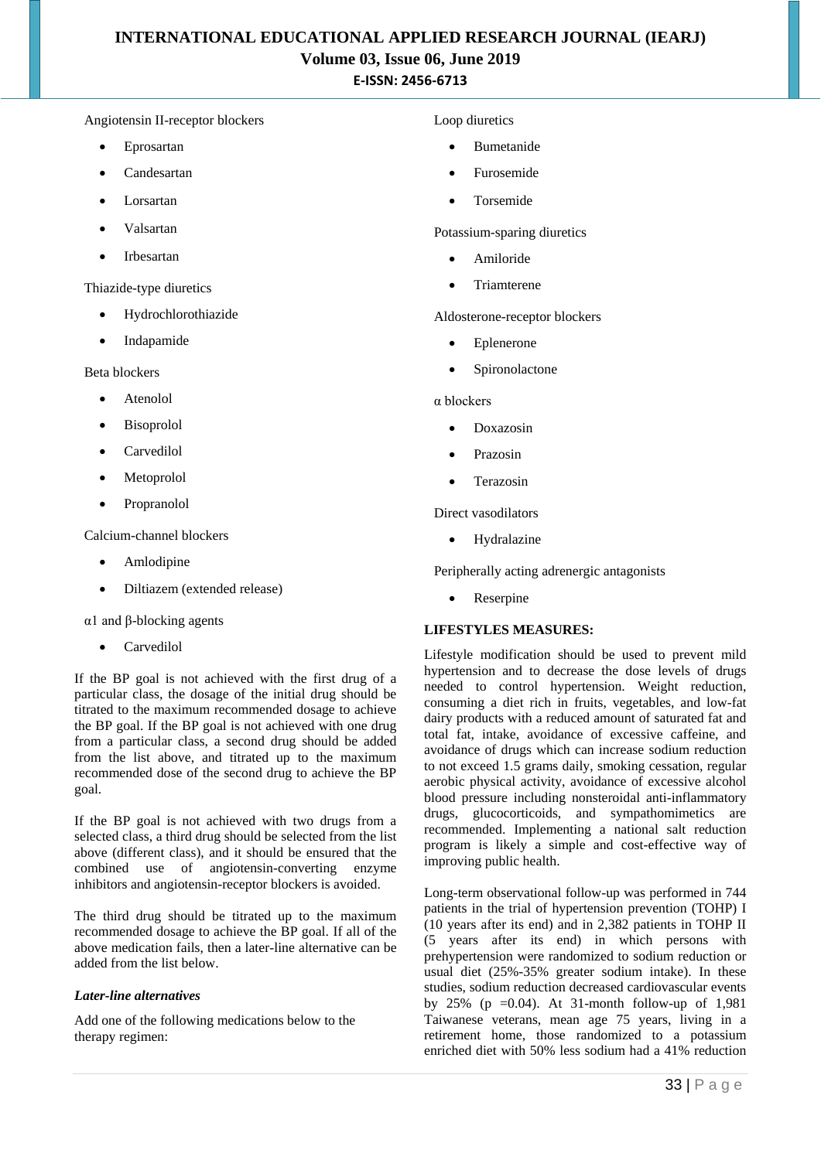## **INTERNATIONAL EDUCATIONAL APPLIED RESEARCH JOURNAL (IEARJ) Volume 03, Issue 06, June 2019 E-ISSN: 2456-6713**

### Angiotensin II-receptor blockers

- Eprosartan
- Candesartan
- Lorsartan
- Valsartan
- Irbesartan

Thiazide-type diuretics

- Hydrochlorothiazide
- Indapamide

Beta blockers

- Atenolol
- Bisoprolol
- Carvedilol
- Metoprolol
- Propranolol

Calcium-channel blockers

- Amlodipine
- Diltiazem (extended release)

α1 and β-blocking agents

Carvedilol

If the BP goal is not achieved with the first drug of a particular class, the dosage of the initial drug should be titrated to the maximum recommended dosage to achieve the BP goal. If the BP goal is not achieved with one drug from a particular class, a second drug should be added from the list above, and titrated up to the maximum recommended dose of the second drug to achieve the BP goal.

If the BP goal is not achieved with two drugs from a selected class, a third drug should be selected from the list above (different class), and it should be ensured that the combined use of angiotensin-converting enzyme inhibitors and angiotensin-receptor blockers is avoided.

The third drug should be titrated up to the maximum recommended dosage to achieve the BP goal. If all of the above medication fails, then a later-line alternative can be added from the list below.

### *Later-line alternatives*

Add one of the following medications below to the therapy regimen:

#### Loop diuretics

- Bumetanide
- Furosemide
- Torsemide

Potassium-sparing diuretics

- Amiloride
- Triamterene

Aldosterone-receptor blockers

- Eplenerone
- Spironolactone

α blockers

- Doxazosin
- Prazosin
- Terazosin

Direct vasodilators

• Hydralazine

Peripherally acting adrenergic antagonists

• Reserpine

### **LIFESTYLES MEASURES:**

Lifestyle modification should be used to prevent mild hypertension and to decrease the dose levels of drugs needed to control hypertension. Weight reduction, consuming a diet rich in fruits, vegetables, and low-fat dairy products with a reduced amount of saturated fat and total fat, intake, avoidance of excessive caffeine, and avoidance of drugs which can increase sodium reduction to not exceed 1.5 grams daily, smoking cessation, regular aerobic physical activity, avoidance of excessive alcohol blood pressure including nonsteroidal anti-inflammatory drugs, glucocorticoids, and sympathomimetics are recommended. Implementing a national salt reduction program is likely a simple and cost-effective way of improving public health.

Long-term observational follow-up was performed in 744 patients in the trial of hypertension prevention (TOHP) I (10 years after its end) and in 2,382 patients in TOHP II (5 years after its end) in which persons with prehypertension were randomized to sodium reduction or usual diet (25%-35% greater sodium intake). In these studies, sodium reduction decreased cardiovascular events by 25% (p = 0.04). At 31-month follow-up of  $1,981$ Taiwanese veterans, mean age 75 years, living in a retirement home, those randomized to a potassium enriched diet with 50% less sodium had a 41% reduction